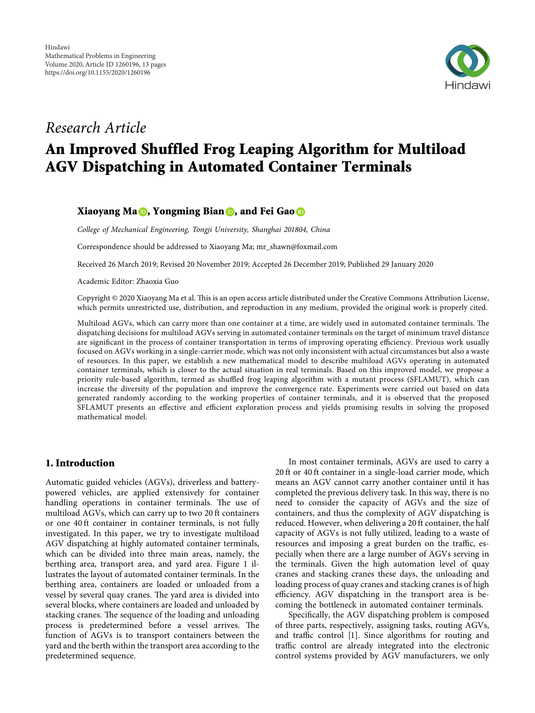

## *Research Article*

# **An Improved Shuffled Frog Leaping Algorithm for Multiload AGV Dispatching in Automated Container Terminals**

## **Xiaoyang Ma [,](https://orcid.org/0000-0002-9706-3870) Yongming Bian , and Fei Gao**

*College of Mechanical Engineering, Tongji University, Shanghai 201804, China*

Correspondence should be addressed to Xiaoyang Ma; [mr\\_shawn@foxmail.com](mailto:mr_shawn@foxmail.com)

Received 26 March 2019; Revised 20 November 2019; Accepted 26 December 2019; Published 29 January 2020

Academic Editor: Zhaoxia Guo

Copyright © 2020 Xiaoyang Ma et al. This is an open access article distributed under the [Creative Commons Attribution License](https://creativecommons.org/licenses/by/4.0/), which permits unrestricted use, distribution, and reproduction in any medium, provided the original work is properly cited.

Multiload AGVs, which can carry more than one container at a time, are widely used in automated container terminals. The dispatching decisions for multiload AGVs serving in automated container terminals on the target of minimum travel distance are significant in the process of container transportation in terms of improving operating efficiency. Previous work usually focused on AGVs working in a single-carrier mode, which was not only inconsistent with actual circumstances but also a waste of resources. In this paper, we establish a new mathematical model to describe multiload AGVs operating in automated container terminals, which is closer to the actual situation in real terminals. Based on this improved model, we propose a priority rule-based algorithm, termed as shuffled frog leaping algorithm with a mutant process (SFLAMUT), which can increase the diversity of the population and improve the convergence rate. Experiments were carried out based on data generated randomly according to the working properties of container terminals, and it is observed that the proposed SFLAMUT presents an effective and efficient exploration process and yields promising results in solving the proposed mathematical model.

## **1. Introduction**

Automatic guided vehicles (AGVs), driverless and batterypowered vehicles, are applied extensively for container handling operations in container terminals. The use of multiload AGVs, which can carry up to two 20 ft containers or one 40 ft container in container terminals, is not fully investigated. In this paper, we try to investigate multiload AGV dispatching at highly automated container terminals, which can be divided into three main areas, namely, the berthing area, transport area, and yard area. Figure [1](#page-1-0) illustrates the layout of automated container terminals. In the berthing area, containers are loaded or unloaded from a vessel by several quay cranes. The yard area is divided into several blocks, where containers are loaded and unloaded by stacking cranes. The sequence of the loading and unloading process is predetermined before a vessel arrives. The function of AGVs is to transport containers between the yard and the berth within the transport area according to the predetermined sequence.

In most container terminals, AGVs are used to carry a 20 ft or 40 ft container in a single-load carrier mode, which means an AGV cannot carry another container until it has completed the previous delivery task. In this way, there is no need to consider the capacity of AGVs and the size of containers, and thus the complexity of AGV dispatching is reduced. However, when delivering a 20 ft container, the half capacity of AGVs is not fully utilized, leading to a waste of resources and imposing a great burden on the traffic, especially when there are a large number of AGVs serving in the terminals. Given the high automation level of quay cranes and stacking cranes these days, the unloading and loading process of quay cranes and stacking cranes is of high efficiency. AGV dispatching in the transport area is becoming the bottleneck in automated container terminals.

Specifically, the AGV dispatching problem is composed of three parts, respectively, assigning tasks, routing AGVs, and traffic control [\[1](#page-12-0)]. Since algorithms for routing and traffic control are already integrated into the electronic control systems provided by AGV manufacturers, we only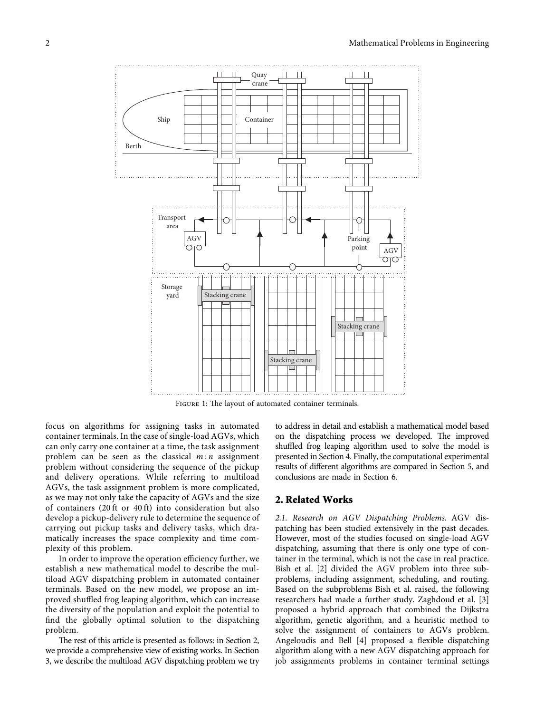<span id="page-1-0"></span>

FIGURE 1: The layout of automated container terminals.

focus on algorithms for assigning tasks in automated container terminals. In the case of single-load AGVs, which can only carry one container at a time, the task assignment problem can be seen as the classical  $m : n$  assignment problem without considering the sequence of the pickup and delivery operations. While referring to multiload AGVs, the task assignment problem is more complicated, as we may not only take the capacity of AGVs and the size of containers (20 ft or 40 ft) into consideration but also develop a pickup-delivery rule to determine the sequence of carrying out pickup tasks and delivery tasks, which dramatically increases the space complexity and time complexity of this problem.

In order to improve the operation efficiency further, we establish a new mathematical model to describe the multiload AGV dispatching problem in automated container terminals. Based on the new model, we propose an improved shuffled frog leaping algorithm, which can increase the diversity of the population and exploit the potential to find the globally optimal solution to the dispatching problem.

The rest of this article is presented as follows: in Section 2, we provide a comprehensive view of existing works. In Section [3,](#page-2-0) we describe the multiload AGV dispatching problem we try

to address in detail and establish a mathematical model based on the dispatching process we developed. The improved shuffled frog leaping algorithm used to solve the model is presented in Section [4.](#page-4-0) Finally, the computational experimental results of different algorithms are compared in Section [5](#page-8-0), and conclusions are made in Section [6.](#page-12-0)

## **2. Related Works**

*2.1. Research on AGV Dispatching Problems.* AGV dispatching has been studied extensively in the past decades. However, most of the studies focused on single-load AGV dispatching, assuming that there is only one type of container in the terminal, which is not the case in real practice. Bish et al. [\[2\]](#page-12-0) divided the AGV problem into three subproblems, including assignment, scheduling, and routing. Based on the subproblems Bish et al. raised, the following researchers had made a further study. Zaghdoud et al. [[3\]](#page-12-0) proposed a hybrid approach that combined the Dijkstra algorithm, genetic algorithm, and a heuristic method to solve the assignment of containers to AGVs problem. Angeloudis and Bell [[4](#page-12-0)] proposed a flexible dispatching algorithm along with a new AGV dispatching approach for job assignments problems in container terminal settings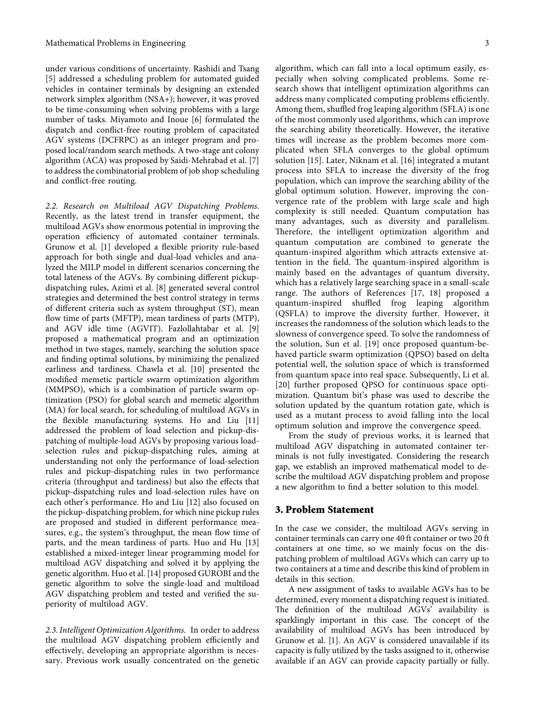<span id="page-2-0"></span>under various conditions of uncertainty. Rashidi and Tsang [\[5](#page-12-0)] addressed a scheduling problem for automated guided vehicles in container terminals by designing an extended network simplex algorithm (NSA+); however, it was proved to be time-consuming when solving problems with a large number of tasks. Miyamoto and Inoue [\[6](#page-12-0)] formulated the dispatch and conflict-free routing problem of capacitated AGV systems (DCFRPC) as an integer program and proposed local/random search methods. A two-stage ant colony algorithm (ACA) was proposed by Saidi-Mehrabad et al. [[7\]](#page-12-0) to address the combinatorial problem of job shop scheduling and conflict-free routing.

*2.2. Research on Multiload AGV Dispatching Problems.* Recently, as the latest trend in transfer equipment, the multiload AGVs show enormous potential in improving the operation efficiency of automated container terminals. Grunow et al. [[1\]](#page-12-0) developed a flexible priority rule-based approach for both single and dual-load vehicles and analyzed the MILP model in different scenarios concerning the total lateness of the AGVs. By combining different pickupdispatching rules, Azimi et al. [\[8](#page-12-0)] generated several control strategies and determined the best control strategy in terms of different criteria such as system throughput (ST), mean flow time of parts (MFTP), mean tardiness of parts (MTP), and AGV idle time (AGVIT). Fazlollahtabar et al. [[9\]](#page-12-0) proposed a mathematical program and an optimization method in two stages, namely, searching the solution space and finding optimal solutions, by minimizing the penalized earliness and tardiness. Chawla et al. [\[10](#page-12-0)] presented the modified memetic particle swarm optimization algorithm (MMPSO), which is a combination of particle swarm optimization (PSO) for global search and memetic algorithm (MA) for local search, for scheduling of multiload AGVs in the flexible manufacturing systems. Ho and Liu [[11\]](#page-12-0) addressed the problem of load selection and pickup-dispatching of multiple-load AGVs by proposing various loadselection rules and pickup-dispatching rules, aiming at understanding not only the performance of load-selection rules and pickup-dispatching rules in two performance criteria (throughput and tardiness) but also the effects that pickup-dispatching rules and load-selection rules have on each other's performance. Ho and Liu [[12\]](#page-12-0) also focused on the pickup-dispatching problem, for which nine pickup rules are proposed and studied in different performance measures, e.g., the system's throughput, the mean flow time of parts, and the mean tardiness of parts. Huo and Hu [[13\]](#page-12-0) established a mixed-integer linear programming model for multiload AGV dispatching and solved it by applying the genetic algorithm. Huo et al. [[14\]](#page-12-0) proposed GUROBI and the genetic algorithm to solve the single-load and multiload AGV dispatching problem and tested and verified the superiority of multiload AGV.

*2.3. Intelligent Optimization Algorithms.* In order to address the multiload AGV dispatching problem efficiently and effectively, developing an appropriate algorithm is necessary. Previous work usually concentrated on the genetic

algorithm, which can fall into a local optimum easily, especially when solving complicated problems. Some research shows that intelligent optimization algorithms can address many complicated computing problems efficiently. Among them, shuffled frog leaping algorithm (SFLA) is one of the most commonly used algorithms, which can improve the searching ability theoretically. However, the iterative times will increase as the problem becomes more complicated when SFLA converges to the global optimum solution [\[15\]](#page-12-0). Later, Niknam et al. [\[16](#page-12-0)] integrated a mutant process into SFLA to increase the diversity of the frog population, which can improve the searching ability of the global optimum solution. However, improving the convergence rate of the problem with large scale and high complexity is still needed. Quantum computation has many advantages, such as diversity and parallelism. Therefore, the intelligent optimization algorithm and quantum computation are combined to generate the quantum-inspired algorithm which attracts extensive attention in the field. The quantum-inspired algorithm is mainly based on the advantages of quantum diversity, which has a relatively large searching space in a small-scale range. The authors of References [[17, 18\]](#page-12-0) proposed a quantum-inspired shuffled frog leaping algorithm (QSFLA) to improve the diversity further. However, it increases the randomness of the solution which leads to the slowness of convergence speed. To solve the randomness of the solution, Sun et al. [\[19](#page-12-0)] once proposed quantum-behaved particle swarm optimization (QPSO) based on delta potential well, the solution space of which is transformed from quantum space into real space. Subsequently, Li et al. [[20](#page-12-0)] further proposed QPSO for continuous space optimization. Quantum bit's phase was used to describe the solution updated by the quantum rotation gate, which is used as a mutant process to avoid falling into the local optimum solution and improve the convergence speed.

From the study of previous works, it is learned that multiload AGV dispatching in automated container terminals is not fully investigated. Considering the research gap, we establish an improved mathematical model to describe the multiload AGV dispatching problem and propose a new algorithm to find a better solution to this model.

## **3. Problem Statement**

In the case we consider, the multiload AGVs serving in container terminals can carry one 40 ft container or two 20 ft containers at one time, so we mainly focus on the dispatching problem of multiload AGVs which can carry up to two containers at a time and describe this kind of problem in details in this section.

A new assignment of tasks to available AGVs has to be determined, every moment a dispatching request is initiated. The definition of the multiload AGVs' availability is sparklingly important in this case. The concept of the availability of multiload AGVs has been introduced by Grunow et al. [\[1](#page-12-0)]. An AGV is considered unavailable if its capacity is fully utilized by the tasks assigned to it, otherwise available if an AGV can provide capacity partially or fully.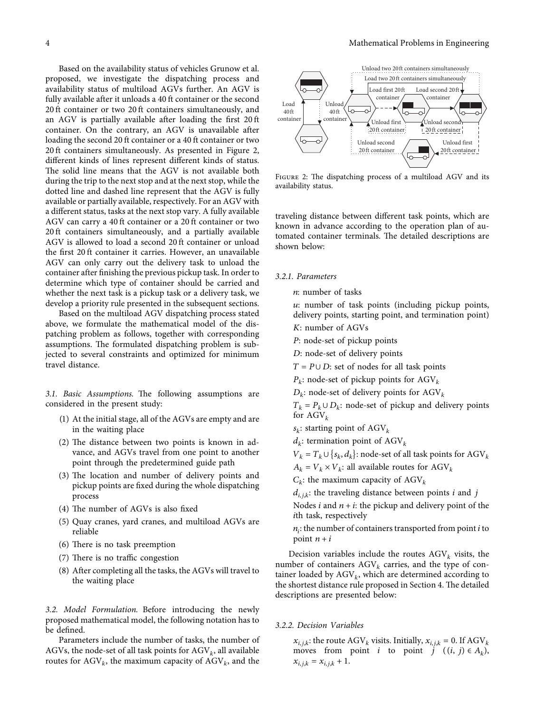Based on the availability status of vehicles Grunow et al. proposed, we investigate the dispatching process and availability status of multiload AGVs further. An AGV is fully available after it unloads a 40 ft container or the second 20 ft container or two 20 ft containers simultaneously, and an AGV is partially available after loading the first 20 ft container. On the contrary, an AGV is unavailable after loading the second 20 ft container or a 40 ft container or two 20 ft containers simultaneously. As presented in Figure 2, different kinds of lines represent different kinds of status. The solid line means that the AGV is not available both during the trip to the next stop and at the next stop, while the dotted line and dashed line represent that the AGV is fully available or partially available, respectively. For an AGV with a different status, tasks at the next stop vary. A fully available AGV can carry a 40 ft container or a 20 ft container or two 20 ft containers simultaneously, and a partially available AGV is allowed to load a second 20 ft container or unload the first 20 ft container it carries. However, an unavailable AGV can only carry out the delivery task to unload the container after finishing the previous pickup task. In order to determine which type of container should be carried and whether the next task is a pickup task or a delivery task, we develop a priority rule presented in the subsequent sections.

Based on the multiload AGV dispatching process stated above, we formulate the mathematical model of the dispatching problem as follows, together with corresponding assumptions. The formulated dispatching problem is subjected to several constraints and optimized for minimum travel distance.

3.1. Basic Assumptions. The following assumptions are considered in the present study:

- (1) At the initial stage, all of the AGVs are empty and are in the waiting place
- $(2)$  The distance between two points is known in advance, and AGVs travel from one point to another point through the predetermined guide path
- $(3)$  The location and number of delivery points and pickup points are fixed during the whole dispatching process
- $(4)$  The number of AGVs is also fixed
- (5) Quay cranes, yard cranes, and multiload AGVs are reliable
- $(6)$  There is no task preemption
- $(7)$  There is no traffic congestion
- (8) After completing all the tasks, the AGVs will travel to the waiting place

*3.2. Model Formulation.* Before introducing the newly proposed mathematical model, the following notation has to be defined.

Parameters include the number of tasks, the number of AGVs, the node-set of all task points for  $AGV_k$ , all available routes for  $AGV_k$ , the maximum capacity of  $AGV_k$ , and the

#### <span id="page-3-0"></span>4 Mathematical Problems in Engineering



FIGURE 2: The dispatching process of a multiload AGV and its availability status.

traveling distance between different task points, which are known in advance according to the operation plan of automated container terminals. The detailed descriptions are shown below:

#### *3.2.1. Parameters*

*n*: number of tasks

*u*: number of task points (including pickup points, delivery points, starting point, and termination point) *K*: number of AGVs

*P*: node-set of pickup points

*D*: node-set of delivery points

 $T = P \cup D$ : set of nodes for all task points

*Pk*: node-set of pickup points for AGV*<sup>k</sup>*

 $D_k$ : node-set of delivery points for  $AGV_k$ 

 $T_k = P_k \cup D_k$ : node-set of pickup and delivery points for AGV*<sup>k</sup>*

*sk*: starting point of AGV*<sup>k</sup>*

 $d_k$ : termination point of AGV<sub>k</sub>

 $V_k = T_k \cup \{s_k, d_k\}$ : node-set of all task points for AGV<sub>k</sub>

 $A_k = V_k \times V_k$ : all available routes for  $AGV_k$ 

 $C_k$ : the maximum capacity of AGV<sub>k</sub>

 $d_{i,j,k}$ : the traveling distance between points *i* and *j* 

Nodes *i* and  $n + i$ : the pickup and delivery point of the *i*th task, respectively

 $n_i$ : the number of containers transported from point  $i$  to point  $n + i$ 

Decision variables include the routes  $AGV_k$  visits, the number of containers AGV*<sup>k</sup>* carries, and the type of container loaded by  $AGV_k$ , which are determined according to the shortest distance rule proposed in Section [4](#page-4-0). The detailed descriptions are presented below:

#### *3.2.2. Decision Variables*

 $x_{i,j,k}$ : the route AGV<sub>k</sub> visits. Initially,  $x_{i,j,k} = 0$ . If AGV<sub>k</sub> moves from point *i* to point *j*  $((i, j) \in A_k)$ ,  $x_{i,j,k} = x_{i,j,k} + 1.$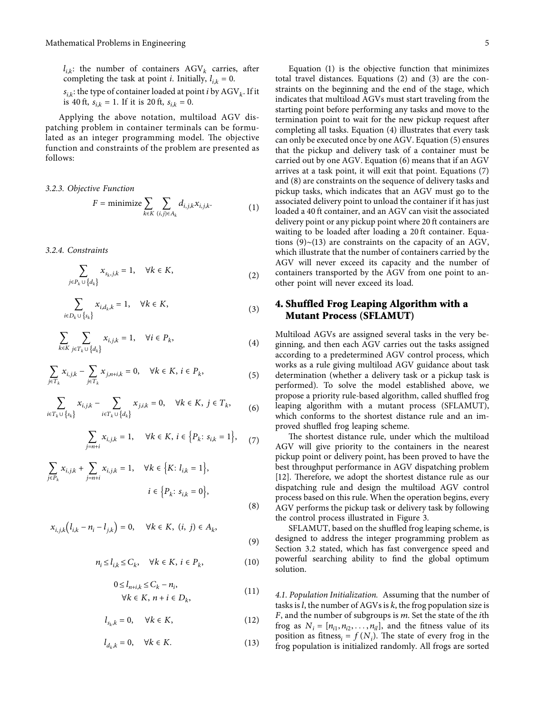<span id="page-4-0"></span> $l_{i,k}$ : the number of containers  $AGV_k$  carries, after completing the task at point *i*. Initially,  $l_{i,k} = 0$ .

 $s_{i,k}$ : the type of container loaded at point *i* by  $AGV_k$ . If it is 40 ft,  $s_{i,k} = 1$ . If it is 20 ft,  $s_{i,k} = 0$ .

Applying the above notation, multiload AGV dispatching problem in container terminals can be formulated as an integer programming model. The objective function and constraints of the problem are presented as follows:

#### *3.2.3. Objective Function*

$$
F = \text{minimize} \sum_{k \in K} \sum_{(i,j) \in A_k} d_{i,j,k} x_{i,j,k}.
$$
 (1)

*3.2.4. Constraints*

$$
\sum_{j\in P_k\cup\{d_k\}} x_{s_k,j,k} = 1, \quad \forall k \in K,
$$
\n(2)

$$
\sum_{i\in D_k\cup\{\mathbf{s}_k\}} x_{i,d_k,k} = 1, \quad \forall k \in K,
$$
\n(3)

$$
\sum_{k \in K} \sum_{j \in T_k \cup \{d_k\}} x_{i,j,k} = 1, \quad \forall i \in P_k,
$$
\n(4)

$$
\sum_{j\in T_k} x_{i,j,k} - \sum_{j\in T_k} x_{j,n+i,k} = 0, \quad \forall k \in K, i \in P_k,
$$
\n(5)

 $\sum$ *i*∈ $T_k$  ∪  $\{s_k\}$  $x_{i,j,k}$  −  $\sum$ *i*∈*T<sub>k</sub>* ∪ { $d_k$ } *x*<sub>*j,i,k*</sub> = 0*,* ∀*k* ∈ *K, j* ∈ *T<sub>k</sub>*, (6)

$$
\sum_{j=n+i} x_{i,j,k} = 1, \quad \forall k \in K, \, i \in \big\{ P_k \colon s_{i,k} = 1 \big\}, \quad \text{ (7)}
$$

$$
\sum_{j \in P_k} x_{i,j,k} + \sum_{j=n+i} x_{i,j,k} = 1, \quad \forall k \in \{K: l_{i,k} = 1\},
$$
  

$$
i \in \{P_k: s_{i,k} = 0\},
$$
 (8)

$$
x_{i,j,k}\left(l_{i,k}-n_i-l_{j,k}\right)=0, \quad \forall k \in K, \ (i, j) \in A_k,
$$

$$
n_i \le l_{i,k} \le C_k, \quad \forall k \in K, \ i \in P_k,\tag{10}
$$

$$
0 \le l_{n+i,k} \le C_k - n_i,
$$
  
\n
$$
\forall k \in K, n+i \in D_k,
$$
\n(11)

(9)

$$
l_{s_k,k} = 0, \quad \forall k \in K,
$$
\n(12)

$$
l_{d_k,k} = 0, \quad \forall k \in K. \tag{13}
$$

Equation (1) is the objective function that minimizes total travel distances. Equations (2) and (3) are the constraints on the beginning and the end of the stage, which indicates that multiload AGVs must start traveling from the starting point before performing any tasks and move to the termination point to wait for the new pickup request after completing all tasks. Equation (4) illustrates that every task can only be executed once by one AGV. Equation (5) ensures that the pickup and delivery task of a container must be carried out by one AGV. Equation (6) means that if an AGV arrives at a task point, it will exit that point. Equations (7) and (8) are constraints on the sequence of delivery tasks and pickup tasks, which indicates that an AGV must go to the associated delivery point to unload the container if it has just loaded a 40 ft container, and an AGV can visit the associated delivery point or any pickup point where 20 ft containers are waiting to be loaded after loading a 20 ft container. Equations (9)∼(13) are constraints on the capacity of an AGV, which illustrate that the number of containers carried by the AGV will never exceed its capacity and the number of containers transported by the AGV from one point to another point will never exceed its load.

## **4. Shuffled Frog Leaping Algorithm with a Mutant Process (SFLAMUT)**

Multiload AGVs are assigned several tasks in the very beginning, and then each AGV carries out the tasks assigned according to a predetermined AGV control process, which works as a rule giving multiload AGV guidance about task determination (whether a delivery task or a pickup task is performed). To solve the model established above, we propose a priority rule-based algorithm, called shuffled frog leaping algorithm with a mutant process (SFLAMUT), which conforms to the shortest distance rule and an improved shuffled frog leaping scheme.

The shortest distance rule, under which the multiload AGV will give priority to the containers in the nearest pickup point or delivery point, has been proved to have the best throughput performance in AGV dispatching problem [\[12](#page-12-0)]. Therefore, we adopt the shortest distance rule as our dispatching rule and design the multiload AGV control process based on this rule. When the operation begins, every AGV performs the pickup task or delivery task by following the control process illustrated in Figure [3](#page-5-0).

SFLAMUT, based on the shuffled frog leaping scheme, is designed to address the integer programming problem as Section [3.2](#page-3-0) stated, which has fast convergence speed and powerful searching ability to find the global optimum solution.

*4.1. Population Initialization.* Assuming that the number of tasks is *l*, the number of AGVs is *k*, the frog population size is *F*, and the number of subgroups is *m*. Set the state of the *i*th frog as  $N_i = [n_{i1}, n_{i2}, \dots, n_{il}]$ , and the fitness value of its position as fitness<sub>i</sub> =  $f(N_i)$ . The state of every frog in the frog population is initialized randomly. All frogs are sorted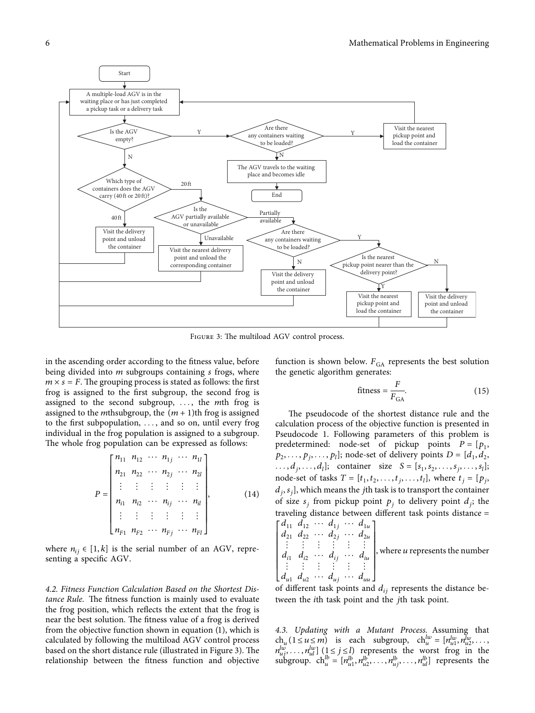<span id="page-5-0"></span>

FIGURE 3: The multiload AGV control process.

in the ascending order according to the fitness value, before being divided into *m* subgroups containing *s* frogs, where  $m \times s = F$ . The grouping process is stated as follows: the first frog is assigned to the first subgroup, the second frog is assigned to the second subgroup, . . . , the *m*th frog is assigned to the *m*thsubgroup, the  $(m + 1)$ th frog is assigned to the first subpopulation, . . . , and so on, until every frog individual in the frog population is assigned to a subgroup. The whole frog population can be expressed as follows:

$$
P = \begin{bmatrix} n_{11} & n_{12} & \cdots & n_{1j} & \cdots & n_{1l} \\ n_{21} & n_{22} & \cdots & n_{2j} & \cdots & n_{2l} \\ \vdots & \vdots & \vdots & \vdots & \vdots & \vdots \\ n_{i1} & n_{i2} & \cdots & n_{ij} & \cdots & n_{il} \\ \vdots & \vdots & \vdots & \vdots & \vdots & \vdots \\ n_{F1} & n_{F2} & \cdots & n_{Fj} & \cdots & n_{Fl} \end{bmatrix},
$$
 (14)

where  $n_{ij} \in [1, k]$  is the serial number of an AGV, representing a specific AGV.

*4.2. Fitness Function Calculation Based on the Shortest Distance Rule.* The fitness function is mainly used to evaluate the frog position, which reflects the extent that the frog is near the best solution. The fitness value of a frog is derived from the objective function shown in equation [\(1](#page-4-0)), which is calculated by following the multiload AGV control process based on the short distance rule (illustrated in Figure 3). The relationship between the fitness function and objective function is shown below.  $F_{GA}$  represents the best solution the genetic algorithm generates:

$$
fitness = \frac{F}{F_{GA}}.
$$
 (15)

The pseudocode of the shortest distance rule and the calculation process of the objective function is presented in Pseudocode [1](#page-6-0). Following parameters of this problem is predetermined: node-set of pickup points  $P = [p_1,$  $p_2, \ldots, p_j, \ldots, p_l$ ; node-set of delivery points  $D = [d_1, d_2, d_1]$ ...,  $d_i$ , ...,  $d_l$ ]; container size  $S = [s_1, s_2, \ldots, s_i, \ldots, s_l]$ ; node-set of tasks  $T = [t_1, t_2, \dots, t_j, \dots, t_l]$ , where  $t_j = [p_j, t_j, \dots, t_l]$  $d_j$ ,  $s_j$ ], which means the *j*th task is to transport the container of size  $s_j$  from pickup point  $p_j$  to delivery point  $d_j$ ; the traveling distance between different task points distance =  $\int d_{11} d_{12} \cdots d_{1j} \cdots d_{1u}$  $d_{21}$   $d_{22}$   $\cdots$   $d_{2j}$   $\cdots$   $d_{2u}$ ⋮ ⋮ ⋮ ⋮ ⋮ ⋮  $d_{i1}$   $d_{i2}$   $\cdots$   $d_{ij}$   $\cdots$   $d_{iu}$ ⋮ ⋮ ⋮ ⋮ ⋮ ⋮  $\begin{bmatrix} d_{u1} & d_{u2} & \cdots & d_{uj} & \cdots & d_{uu} \end{bmatrix}$ ⎡⎢⎢⎢⎢⎢⎢⎢⎢⎢⎢⎢⎢⎢⎢⎢⎢⎢⎢⎢⎢⎢⎢⎢⎢⎢⎢⎢⎢⎢⎢⎢⎢⎢⎢⎢⎢⎢⎢⎢⎢⎣ ⎤⎥⎥⎥⎥⎥⎥⎥⎥⎥⎥⎥⎥⎥⎥⎥⎥⎥⎥⎥⎥⎥⎥⎥⎥⎥⎥⎥⎥⎥⎥⎥⎥⎥⎥⎥⎥⎥⎥⎥⎥⎦ , where *u* represents the number

of different task points and *dij* represents the distance between the *i*th task point and the *j*th task point.

*4.3. Updating with a Mutant Process.* Assuming that  $ch_u(1 \le u \le m)$  is each subgroup,  $ch_u^{lw} = [n_{u1}^{lw}, n_{u2}^{lw}, \dots]$  $n_{uj}^{lw}$ , ...,  $n_{ul}^{lw}$ ] ( $\frac{1}{n} \leq j \leq l$ ) represents the worst frog in the  $\text{supp. c}$   $\text{ch}_{u}^{lb} = [n_{u1}^{lb}, n_{u2}^{lb}, \dots, n_{uj}^{lb}, \dots, n_{ul}^{lb}]$  represents the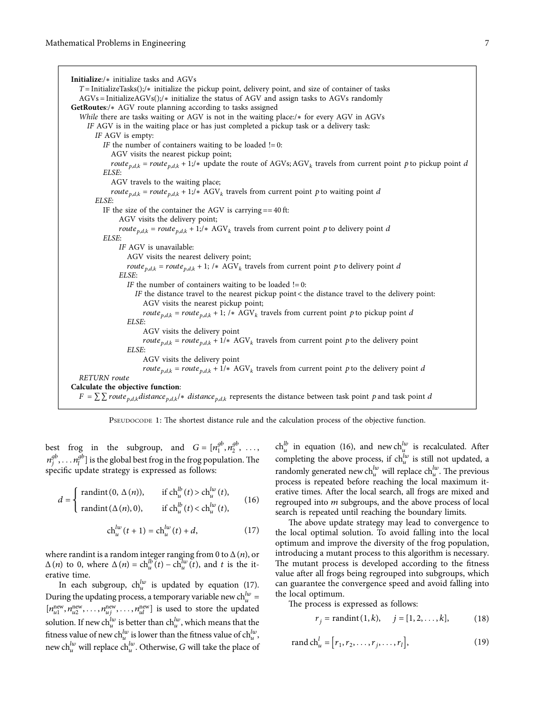<span id="page-6-0"></span>**Initialize**:/∗ initialize tasks and AGVs *T* = InitializeTasks();/\* initialize the pickup point, delivery point, and size of container of tasks  $AGVs =$  Initialize $AGVs$ ();/ $*$  initialize the status of AGV and assign tasks to AGVs randomly **GetRoutes**:/∗ AGV route planning according to tasks assigned *While* there are tasks waiting or AGV is not in the waiting place:/\* for every AGV in AGVs *IF* AGV is in the waiting place or has just completed a pickup task or a delivery task: *IF* AGV is empty: *IF* the number of containers waiting to be loaded  $!= 0$ : AGV visits the nearest pickup point; *route*<sub>p,d,k</sub> = *route*<sub>p,d,k</sub> + 1;/\* update the route of AGVs; AGV<sub>k</sub> travels from current point *p* to pickup point *d ELSE*: AGV travels to the waiting place; *route*<sub>p,d,k</sub> = *route*<sub>p,d,k</sub> + 1;/\* AGV<sub>k</sub> travels from current point *p* to waiting point *d ELSE*: IF the size of the container the AGV is carrying  $== 40$  ft: AGV visits the delivery point; *route*<sub>p,d,k</sub> = *route*<sub>p,d,k</sub> + 1;/\* AGV<sub>k</sub> travels from current point *p* to delivery point *d ELSE*: *IF* AGV is unavailable: AGV visits the nearest delivery point; *route*<sub>p,d,k</sub> = *route*<sub>p,d,k</sub> + 1; /\* AGV<sub>k</sub> travels from current point *p* to delivery point *d ELSE*: *IF* the number of containers waiting to be loaded  $!= 0$ : *IF* the distance travel to the nearest pickup point < the distance travel to the delivery point: AGV visits the nearest pickup point; *route*<sub>p,d,k</sub> = *route*<sub>p,d,k</sub> + 1; /\* AGV<sub>k</sub> travels from current point *p* to pickup point *d ELSE*: AGV visits the delivery point *route*<sub>p,d,k</sub> = *route*<sub>p,d,k</sub> + 1/\* AGV<sub>k</sub> travels from current point *p* to the delivery point *ELSE*: AGV visits the delivery point *route*<sub>p,d,k</sub> = *route*<sub>p,d,k</sub> + 1/\* AGV<sub>k</sub> travels from current point *p* to the delivery point *d RETURN route* **Calculate the objective function**:  $F = \sum_{i} \sum_{i} route_{p,d,k} distance_{p,d,k}/* distance_{p,d,k}$  represents the distance between task point *p* and task point *d* 

PSEUDOCODE 1: The shortest distance rule and the calculation process of the objective function.

best frog in the subgroup, and  $G = [n_1^{gb}, n_2^{gb}, \ldots, n_d]$  $m_j^{gb}, \ldots m_l^{gb}$  ] is the global best frog in the frog population. The specific update strategy is expressed as follows:

$$
d = \begin{cases} \text{randint}(0, \Delta(n)), & \text{if } \mathrm{ch}_{u}^{lb}(t) > \mathrm{ch}_{u}^{lw}(t), \\ \text{randint}(\Delta(n), 0), & \text{if } \mathrm{ch}_{u}^{lb}(t) < \mathrm{ch}_{u}^{lw}(t), \end{cases}
$$
(16)

$$
ch_{u}^{lw}(t+1) = ch_{u}^{lw}(t) + d,
$$
 (17)

where randint is a random integer ranging from 0 to Δ(*n*), or  $\Delta(n)$  to 0, where  $\Delta(n) = ch_u^{lb}(t) - ch_u^{lw}(t)$ , and *t* is the iterative time.

In each subgroup,  $\mathbf{ch}_{u}^{lw}$  is updated by equation (17). During the updating process, a temporary variable new  $\mathrm{ch}^{lw}_u =$  $[n_{u1}^{\text{new}}, n_{u2}^{\text{new}}, \dots, n_{uj}^{\text{new}}, \dots, n_{ul}^{\text{new}}]$  is used to store the updated solution. If new ch<sup>*lw*</sup> is better than ch<sup>*lw*</sup>, which means that the fitness value of new  $\mathrm{ch}^{lw}_u$  is lower than the fitness value of  $\mathrm{ch}^{lw}_u$ , new  $\mathrm{ch}^{lw}_u$  will replace  $\mathrm{ch}^{lw}_u$ . Otherwise,  $G$  will take the place of

 $\ch_u^{lb}$  in equation (16), and new  $\ch_u^{lw}$  is recalculated. After completing the above process, if  $\mathrm{ch}_{u}^{lw}$  is still not updated, a randomly generated new ch<sup>*lw*</sup> will replace ch<sup>*lw*</sup>. The previous process is repeated before reaching the local maximum iterative times. After the local search, all frogs are mixed and regrouped into *m* subgroups, and the above process of local search is repeated until reaching the boundary limits.

The above update strategy may lead to convergence to the local optimal solution. To avoid falling into the local optimum and improve the diversity of the frog population, introducing a mutant process to this algorithm is necessary. The mutant process is developed according to the fitness value after all frogs being regrouped into subgroups, which can guarantee the convergence speed and avoid falling into the local optimum.

The process is expressed as follows:

$$
r_j
$$
 = randint (1, *k*),  $j = [1, 2, ..., k],$  (18)

rand ch<sup>1</sup><sub>u</sub> = [
$$
r_1, r_2, ..., r_j, ..., r_l
$$
], (19)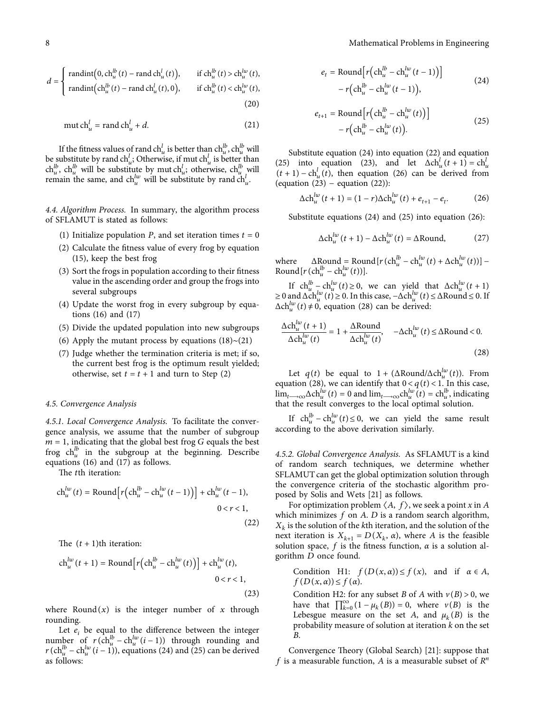<span id="page-7-0"></span>
$$
d = \begin{cases} \text{randint}\big(0, \text{ch}_{u}^{lb}(t) - \text{rand ch}_{u}^{l}(t)\big), & \text{if } \text{ch}_{u}^{lb}(t) > \text{ch}_{u}^{lw}(t), \\ \text{randint}\big(\text{ch}_{u}^{lb}(t) - \text{rand ch}_{u}^{l}(t), 0\big), & \text{if } \text{ch}_{u}^{lb}(t) < \text{ch}_{u}^{lw}(t), \end{cases}
$$
(20)

$$
\text{mut } \text{ch}_{u}^{l} = \text{rand } \text{ch}_{u}^{l} + d. \tag{21}
$$

If the fitness values of rand ch<sup>*l*</sup><sub>*u*</sub> is better than ch<sup>*lb*</sup></sup>, ch<sup>*lb*</sup> will be substitute by rand  $\mathrm{ch}_{\mu}^l$ ; Otherwise, if mut  $\mathrm{ch}_{\mu}^l$  is better than  $ch_u^{\text{lb}}$ ,  $ch_u^{\text{lb}}$  will be substitute by mut  $ch_u^{\text{l}}$ ; otherwise,  $ch_u^{\text{lb}}$  will remain the same, and  $\text{ch}_{u}^{lw}$  will be substitute by rand  $\text{ch}_{u}^{l}$ .

*4.4. Algorithm Process.* In summary, the algorithm process of SFLAMUT is stated as follows:

- (1) Initialize population *P*, and set iteration times  $t = 0$
- (2) Calculate the fitness value of every frog by equation ([15](#page-5-0)), keep the best frog
- (3) Sort the frogs in population according to their fitness value in the ascending order and group the frogs into several subgroups
- (4) Update the worst frog in every subgroup by equations ([16\)](#page-6-0) and [\(17](#page-6-0))
- (5) Divide the updated population into new subgroups
- (6) Apply the mutant process by equations [\(18\)](#page-6-0)∼(21)
- (7) Judge whether the termination criteria is met; if so, the current best frog is the optimum result yielded; otherwise, set  $t = t + 1$  and turn to Step (2)

#### *4.5. Convergence Analysis*

*4.5.1. Local Convergence Analysis.* To facilitate the convergence analysis, we assume that the number of subgroup  $m = 1$ , indicating that the global best frog *G* equals the best frog  $ch_u^{lb}$  in the subgroup at the beginning. Describe equations ([16](#page-6-0)) and [\(17\)](#page-6-0) as follows.

The *t*th iteration:

$$
\operatorname{ch}_{u}^{lw}(t) = \operatorname{Round}\left[r\left(\operatorname{ch}_{u}^{lb} - \operatorname{ch}_{u}^{lw}(t-1)\right)\right] + \operatorname{ch}_{u}^{lw}(t-1),
$$
  

$$
0 < r < 1,
$$
\n
$$
(22)
$$

The  $(t + 1)$ th iteration:

$$
\operatorname{ch}_{u}^{lw}(t+1) = \text{Round}\left[r\left(\operatorname{ch}_{u}^{lb} - \operatorname{ch}_{u}^{lw}(t)\right)\right] + \operatorname{ch}_{u}^{lw}(t),
$$
  

$$
0 < r < 1,
$$
\n
$$
(23)
$$

where  $Round(x)$  is the integer number of x through rounding.

Let  $e_i$  be equal to the difference between the integer number of  $r(\text{ch}_{u}^{lb} - \text{ch}_{u}^{lw} (i-1))$  through rounding and  $r(\text{ch}^{lb}_u - \text{ch}^{lw}_u(i-1))$ , equations (24) and (25) can be derived as follows:

$$
e_{t} = \text{Round}\left[r\left(\text{ch}_{u}^{lb} - \text{ch}_{u}^{lw}\left(t - 1\right)\right)\right] - r\left(\text{ch}_{u}^{lb} - \text{ch}_{u}^{lw}\left(t - 1\right)\right),\tag{24}
$$

$$
e_{t+1} = \text{Round}\left[r\left(\text{ch}_{u}^{lb} - \text{ch}_{u}^{lw}\left(t\right)\right)\right] - r\left(\text{ch}_{u}^{lb} - \text{ch}_{u}^{lw}\left(t\right)\right). \tag{25}
$$

Substitute equation (24) into equation (22) and equation (25) into equation (23), and let  $\Delta \text{ch}_{u}^{l}(t+1) = \text{ch}_{u}^{l}$  $(t + 1) - ch<sub>u</sub><sup>l</sup>(t)$ , then equation (26) can be derived from  $\text{(equation (23) - equation (22))}:$ 

$$
\Delta \mathrm{ch}_{u}^{lw} (t+1) = (1-r) \Delta \mathrm{ch}_{u}^{lw} (t) + e_{t+1} - e_{t}. \tag{26}
$$

Substitute equations (24) and (25) into equation (26):

$$
\Delta \mathrm{ch}_{u}^{lw} \left( t + 1 \right) - \Delta \mathrm{ch}_{u}^{lw} \left( t \right) = \Delta \mathrm{Round},\tag{27}
$$

where  $\Delta \text{Round} = \text{Round}[r(\text{ch}_{u}^{lb} - \text{ch}_{u}^{lw}(t) + \Delta \text{ch}_{u}^{lw}(t))]$ Round  $[r(\text{ch}^{lb}_u - \text{ch}^{lw}_u(t))]$ .

If  $ch_u^{\text{lb}} - ch_u^{\text{lw}}(t) \ge 0$ , we can yield that  $\Delta ch_u^{\text{lw}}(t+1)$  $\geq$  0 and  $\Delta$ ch<sup>l*w*</sup> (*t*) ≥ 0. In this case,  $-\Delta$ ch<sup>*lw*</sup> (*t*) ≤ ΔRound ≤ 0. If  $\Delta \text{ch}_{u}^{lw}(t) \neq 0$ , equation (28) can be derived:

$$
\frac{\Delta \mathrm{ch}_{u}^{\mathrm{lw}}(t+1)}{\Delta \mathrm{ch}_{u}^{\mathrm{lw}}(t)} = 1 + \frac{\Delta \mathrm{Round}}{\Delta \mathrm{ch}_{u}^{\mathrm{lw}}(t)}, \quad -\Delta \mathrm{ch}_{u}^{\mathrm{lw}}(t) \le \Delta \mathrm{Round} < 0. \tag{28}
$$

Let *q*(*t*) be equal to 1 + ( $\Delta$ Round/ $\Delta$ ch<sup>*lw*</sup>(*t*)). From equation (28), we can identify that  $0 < q(t) < 1$ . In this case,  $\lim_{t\to\infty} \Delta \text{ch}_{u}^{lw}(t) = 0$  and  $\lim_{t\to\infty} \text{ch}_{u}^{lw}(t) = \text{ch}_{u}^{lb}$ , indicating that the result converges to the local optimal solution.

If  $ch_u^{lb} - ch_u^{lw}(t) \le 0$ , we can yield the same result according to the above derivation similarly.

*4.5.2. Global Convergence Analysis.* As SFLAMUT is a kind of random search techniques, we determine whether SFLAMUT can get the global optimization solution through the convergence criteria of the stochastic algorithm proposed by Solis and Wets [\[21](#page-12-0)] as follows.

For optimization problem 〈*A, f*〉, we seek a point *x* in *A* which minimizes *f* on *A*. *D* is a random search algorithm,  $X_k$  is the solution of the *k*th iteration, and the solution of the next iteration is  $X_{k+1} = D(X_k, \alpha)$ , where *A* is the feasible solution space, *f* is the fitness function,  $\alpha$  is a solution algorithm *D* once found.

Condition H1:  $f(D(x, \alpha)) \le f(x)$ , and if  $\alpha \in A$ ,  $f(D(x, \alpha)) \leq f(\alpha)$ .

Condition H2: for any subset *B* of *A* with  $\nu(B) > 0$ , we have that  $\prod_{k=0}^{\infty} (1 - \mu_k(B)) = 0$ , where *v*(*B*) is the Lebesgue measure on the set *A*, and  $\mu_k(B)$  is the probability measure of solution at iteration *k* on the set *B*.

Convergence Theory (Global Search) [\[21](#page-12-0)]: suppose that *f* is a measurable function, *A* is a measurable subset of *R<sup>n</sup>*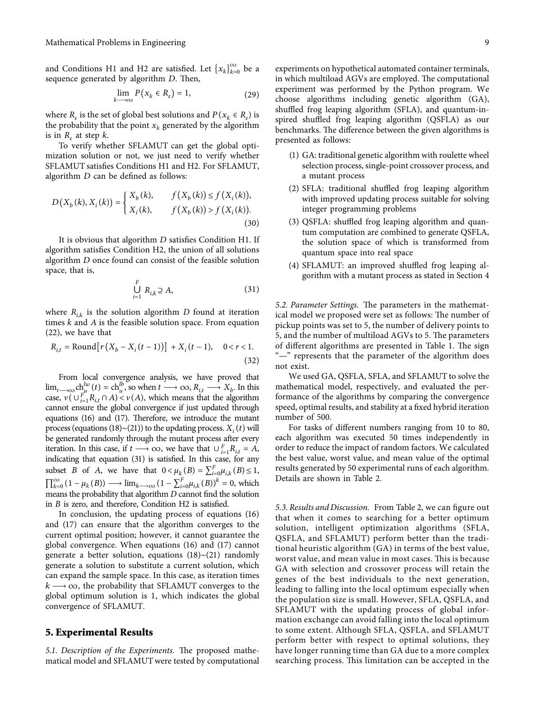<span id="page-8-0"></span>and Conditions H1 and H2 are satisfied. Let  $\{x_k\}_{k=0}^{\infty}$  be a sequence generated by algorithm *D*. Then,

$$
\lim_{k \to \infty} P(x_k \in R_{\varepsilon}) = 1, \tag{29}
$$

where  $R_{\varepsilon}$  is the set of global best solutions and  $P(x_k \in R_{\varepsilon})$  is the probability that the point  $x_k$  generated by the algorithm is in *R<sup>ε</sup>* at step *k*.

To verify whether SFLAMUT can get the global optimization solution or not, we just need to verify whether SFLAMUT satisfies Conditions H1 and H2. For SFLAMUT, algorithm *D* can be defined as follows:

$$
D(X_b(k), X_i(k)) = \begin{cases} X_b(k), & f(X_b(k)) \le f(X_i(k)), \\ X_i(k), & f(X_b(k)) > f(X_i(k)). \end{cases}
$$
\n(30)

It is obvious that algorithm *D* satisfies Condition H1. If algorithm satisfies Condition H2, the union of all solutions algorithm *D* once found can consist of the feasible solution space, that is,

$$
\bigcup_{i=1}^{F} R_{i,k} \supseteq A,\tag{31}
$$

where  $R_{ik}$  is the solution algorithm *D* found at iteration times *k* and *A* is the feasible solution space. From equation [\(22\)](#page-7-0), we have that

$$
R_{i,t} = \text{Round}\big[r\big(X_b - X_i(t-1)\big)\big] + X_i(t-1), \quad 0 < r < 1. \tag{32}
$$

From local convergence analysis, we have proved that  $\lim_{t\to\infty}$ ch<sub> $u$ </sub><sup>lw</sup> (*t*) = ch<sub>u</sub><sup>*l*b</sup>, so when *t* → ∞,  $R_{i,t}$  →  $X_b$ . In this case,  $\nu(\cup_{i=1}^{F} R_{i,t} \cap A) < \nu(A)$ , which means that the algorithm cannot ensure the global convergence if just updated through equations  $(16)$  $(16)$  and  $(17)$  $(17)$ . Therefore, we introduce the mutant process (equations [\(18\)](#page-6-0)∼[\(21](#page-7-0))) to the updating process. *Xi*(*t*) will be generated randomly through the mutant process after every iteration. In this case, if *t* →  $\infty$ , we have that  $\cup_{i=1}^{F} R_{i,t} = A$ , indicating that equation (31) is satisfied. In this case, for any subset *B* of *A*, we have that  $0 < \mu_k(B) = \sum_{i=0}^F \mu_{i,k}(B) \le 1$ ,  $\prod_{k=0}^{\infty} (1 - \mu_k(B)) \longrightarrow \lim_{k \longrightarrow \infty} (1 - \sum_{i=0}^{F} \mu_{i,k}(B))^k = 0$ , which means the probability that algorithm *D* cannot find the solution in *B* is zero, and therefore, Condition H2 is satisfied.

In conclusion, the updating process of equations ([16\)](#page-6-0) and ([17\)](#page-6-0) can ensure that the algorithm converges to the current optimal position; however, it cannot guarantee the global convergence. When equations [\(16](#page-6-0)) and [\(17](#page-6-0)) cannot generate a better solution, equations [\(18](#page-6-0))∼([21\)](#page-7-0) randomly generate a solution to substitute a current solution, which can expand the sample space. In this case, as iteration times  $k \longrightarrow \infty$ , the probability that SFLAMUT converges to the global optimum solution is 1, which indicates the global convergence of SFLAMUT.

## **5. Experimental Results**

*5.1. Description of the Experiments. The proposed mathe*matical model and SFLAMUT were tested by computational experiments on hypothetical automated container terminals, in which multiload AGVs are employed. The computational experiment was performed by the Python program. We choose algorithms including genetic algorithm (GA), shuffled frog leaping algorithm (SFLA), and quantum-inspired shuffled frog leaping algorithm (QSFLA) as our benchmarks. The difference between the given algorithms is presented as follows:

- (1) GA: traditional genetic algorithm with roulette wheel selection process, single-point crossover process, and a mutant process
- (2) SFLA: traditional shuffled frog leaping algorithm with improved updating process suitable for solving integer programming problems
- (3) QSFLA: shuffled frog leaping algorithm and quantum computation are combined to generate QSFLA, the solution space of which is transformed from quantum space into real space
- (4) SFLAMUT: an improved shuffled frog leaping algorithm with a mutant process as stated in Section [4](#page-4-0)

5.2. Parameter Settings. The parameters in the mathematical model we proposed were set as follows: The number of pickup points was set to 5, the number of delivery points to 5, and the number of multiload AGVs to 5. The parameters of different algorithms are presented in Table [1](#page-9-0). The sign "—" represents that the parameter of the algorithm does not exist.

We used GA, QSFLA, SFLA, and SFLAMUT to solve the mathematical model, respectively, and evaluated the performance of the algorithms by comparing the convergence speed, optimal results, and stability at a fixed hybrid iteration number of 500.

For tasks of different numbers ranging from 10 to 80, each algorithm was executed 50 times independently in order to reduce the impact of random factors. We calculated the best value, worst value, and mean value of the optimal results generated by 50 experimental runs of each algorithm. Details are shown in Table [2](#page-9-0).

*5.3. Results and Discussion.* From Table [2,](#page-9-0) we can figure out that when it comes to searching for a better optimum solution, intelligent optimization algorithms (SFLA, QSFLA, and SFLAMUT) perform better than the traditional heuristic algorithm (GA) in terms of the best value, worst value, and mean value in most cases. This is because GA with selection and crossover process will retain the genes of the best individuals to the next generation, leading to falling into the local optimum especially when the population size is small. However, SFLA, QSFLA, and SFLAMUT with the updating process of global information exchange can avoid falling into the local optimum to some extent. Although SFLA, QSFLA, and SFLAMUT perform better with respect to optimal solutions, they have longer running time than GA due to a more complex searching process. This limitation can be accepted in the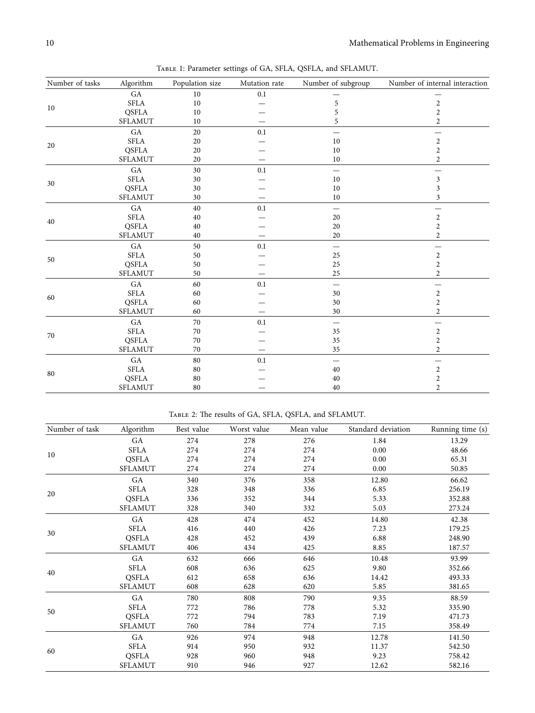<span id="page-9-0"></span>

| Number of tasks | Algorithm                  | Population size | Mutation rate | Number of subgroup               | Number of internal interaction |
|-----------------|----------------------------|-----------------|---------------|----------------------------------|--------------------------------|
| 10              | GA                         | $10\,$          | 0.1           |                                  |                                |
|                 | ${\rm SFLA}$               | 10              |               | 5                                | $\overline{\mathbf{c}}$        |
|                 | <b>QSFLA</b>               | 10              |               | 5                                | $\overline{c}$                 |
|                 | SFLAMUT                    | 10              |               | 5                                | $\overline{c}$                 |
| 20              | GA                         | 20              | 0.1           |                                  |                                |
|                 | <b>SFLA</b>                | $20\,$          |               | $10\,$                           | $\boldsymbol{2}$               |
|                 | <b>QSFLA</b>               | 20              |               | 10                               | $\overline{c}$                 |
|                 | SFLAMUT                    | 20              |               | 10                               | $\overline{c}$                 |
|                 | ${\rm GA}$                 | 30              | 0.1           |                                  |                                |
| 30              | <b>SFLA</b>                | 30              |               | $10\,$                           | 3                              |
|                 | <b>QSFLA</b>               | 30              |               | 10                               | 3                              |
|                 | SFLAMUT                    | 30              |               | 10                               | 3                              |
| 40              | ${\rm GA}$                 | 40              | $0.1\,$       | $\qquad \qquad -$                |                                |
|                 | <b>SFLA</b>                | 40              |               | 20                               | $\boldsymbol{2}$               |
|                 | <b>QSFLA</b>               | 40              |               | 20                               | $\sqrt{2}$                     |
|                 | SFLAMUT                    | 40              |               | 20                               | $\overline{c}$                 |
|                 | GA                         | 50              | 0.1           | $\overline{\phantom{0}}$         |                                |
| 50              | <b>SFLA</b>                | 50              |               | $25\,$                           | $\sqrt{2}$                     |
|                 | $\operatorname{\sf QSFLA}$ | 50              |               | 25                               | $\sqrt{2}$                     |
|                 | SFLAMUT                    | 50              |               | 25                               | $\overline{c}$                 |
| 60              | ${\rm GA}$                 | 60              | 0.1           | $\overbrace{\phantom{12322111}}$ |                                |
|                 | SFLA                       | 60              |               | 30                               | $\overline{c}$                 |
|                 | <b>QSFLA</b>               | 60              |               | 30                               | $\overline{c}$                 |
|                 | SFLAMUT                    | 60              |               | 30                               | $\overline{c}$                 |
| 70              | GA                         | $70\,$          | 0.1           | $\qquad \qquad -$                | —                              |
|                 | <b>SFLA</b>                | $70\,$          |               | 35                               | $\sqrt{2}$                     |
|                 | <b>QSFLA</b>               | 70              |               | 35                               | $\overline{\mathbf{c}}$        |
|                 | SFLAMUT                    | 70              |               | 35                               | $\overline{c}$                 |
| 80              | GA                         | 80              | 0.1           | $\hspace{0.1mm}-\hspace{0.1mm}$  |                                |
|                 | <b>SFLA</b>                | $80\,$          |               | 40                               | $\overline{\mathbf{c}}$        |
|                 | <b>QSFLA</b>               | 80              |               | 40                               | $\overline{\mathbf{c}}$        |
|                 | SFLAMUT                    | 80              |               | 40                               | $\overline{c}$                 |

Table 1: Parameter settings of GA, SFLA, QSFLA, and SFLAMUT.

TABLE 2: The results of GA, SFLA, QSFLA, and SFLAMUT.

| Number of task | Algorithm      | Best value | Worst value | Mean value | Standard deviation | Running time (s) |
|----------------|----------------|------------|-------------|------------|--------------------|------------------|
| 10             | GA             | 274        | 278         | 276        | 1.84               | 13.29            |
|                | <b>SFLA</b>    | 274        | 274         | 274        | 0.00               | 48.66            |
|                | <b>QSFLA</b>   | 274        | 274         | 274        | 0.00               | 65.31            |
|                | <b>SFLAMUT</b> | 274        | 274         | 274        | 0.00               | 50.85            |
| 20             | GA             | 340        | 376         | 358        | 12.80              | 66.62            |
|                | <b>SFLA</b>    | 328        | 348         | 336        | 6.85               | 256.19           |
|                | <b>QSFLA</b>   | 336        | 352         | 344        | 5.33               | 352.88           |
|                | <b>SFLAMUT</b> | 328        | 340         | 332        | 5.03               | 273.24           |
| 30             | GA             | 428        | 474         | 452        | 14.80              | 42.38            |
|                | <b>SFLA</b>    | 416        | 440         | 426        | 7.23               | 179.25           |
|                | <b>QSFLA</b>   | 428        | 452         | 439        | 6.88               | 248.90           |
|                | SFLAMUT        | 406        | 434         | 425        | 8.85               | 187.57           |
| 40             | GA             | 632        | 666         | 646        | 10.48              | 93.99            |
|                | <b>SFLA</b>    | 608        | 636         | 625        | 9.80               | 352.66           |
|                | <b>QSFLA</b>   | 612        | 658         | 636        | 14.42              | 493.33           |
|                | SFLAMUT        | 608        | 628         | 620        | 5.85               | 381.65           |
| 50             | GA             | 780        | 808         | 790        | 9.35               | 88.59            |
|                | SFLA           | 772        | 786         | 778        | 5.32               | 335.90           |
|                | <b>QSFLA</b>   | 772        | 794         | 783        | 7.19               | 471.73           |
|                | SFLAMUT        | 760        | 784         | 774        | 7.15               | 358.49           |
| 60             | GA             | 926        | 974         | 948        | 12.78              | 141.50           |
|                | <b>SFLA</b>    | 914        | 950         | 932        | 11.37              | 542.50           |
|                | <b>QSFLA</b>   | 928        | 960         | 948        | 9.23               | 758.42           |
|                | <b>SFLAMUT</b> | 910        | 946         | 927        | 12.62              | 582.16           |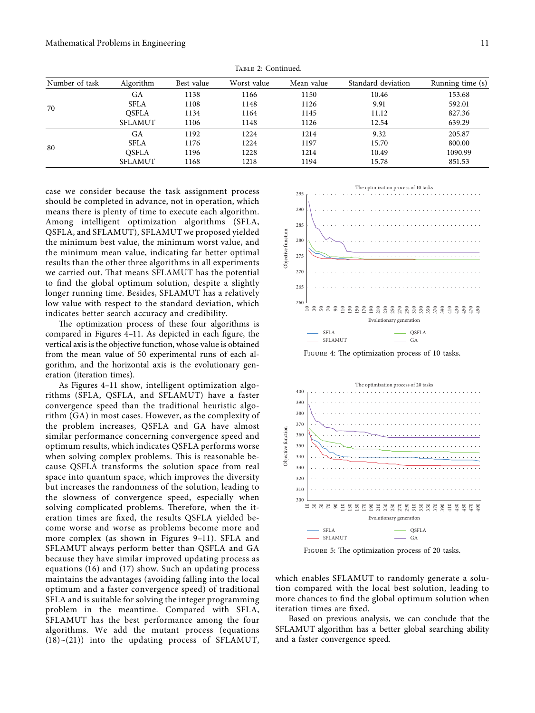| Number of task | Algorithm      | Best value | Worst value | Mean value | Standard deviation | Running time (s) |
|----------------|----------------|------------|-------------|------------|--------------------|------------------|
| 70             | GA             | 1138       | 1166        | 1150       | 10.46              | 153.68           |
|                | <b>SFLA</b>    | 1108       | 1148        | 1126       | 9.91               | 592.01           |
|                | OSFLA          | 1134       | 1164        | 1145       | 11.12              | 827.36           |
|                | <b>SFLAMUT</b> | 1106       | 1148        | 1126       | 12.54              | 639.29           |
| 80             | GA             | 1192       | 1224        | 1214       | 9.32               | 205.87           |
|                | <b>SFLA</b>    | 1176       | 1224        | 1197       | 15.70              | 800.00           |
|                | <b>OSFLA</b>   | 1196       | 1228        | 1214       | 10.49              | 1090.99          |
|                | SFLAMUT        | 1168       | 1218        | 1194       | 15.78              | 851.53           |

TABLE 2: Continued.

case we consider because the task assignment process should be completed in advance, not in operation, which means there is plenty of time to execute each algorithm. Among intelligent optimization algorithms (SFLA, QSFLA, and SFLAMUT), SFLAMUT we proposed yielded the minimum best value, the minimum worst value, and the minimum mean value, indicating far better optimal results than the other three algorithms in all experiments we carried out. That means SFLAMUT has the potential to find the global optimum solution, despite a slightly longer running time. Besides, SFLAMUT has a relatively low value with respect to the standard deviation, which indicates better search accuracy and credibility.

The optimization process of these four algorithms is compared in Figures 4[–11](#page-11-0). As depicted in each figure, the vertical axis is the objective function, whose value is obtained from the mean value of 50 experimental runs of each algorithm, and the horizontal axis is the evolutionary generation (iteration times).

As Figures 4[–11](#page-11-0) show, intelligent optimization algorithms (SFLA, QSFLA, and SFLAMUT) have a faster convergence speed than the traditional heuristic algorithm (GA) in most cases. However, as the complexity of the problem increases, QSFLA and GA have almost similar performance concerning convergence speed and optimum results, which indicates QSFLA performs worse when solving complex problems. This is reasonable because QSFLA transforms the solution space from real space into quantum space, which improves the diversity but increases the randomness of the solution, leading to the slowness of convergence speed, especially when solving complicated problems. Therefore, when the iteration times are fixed, the results QSFLA yielded become worse and worse as problems become more and more complex (as shown in Figures [9–11\)](#page-11-0). SFLA and SFLAMUT always perform better than QSFLA and GA because they have similar improved updating process as equations ([16](#page-6-0)) and ([17](#page-6-0)) show. Such an updating process maintains the advantages (avoiding falling into the local optimum and a faster convergence speed) of traditional SFLA and is suitable for solving the integer programming problem in the meantime. Compared with SFLA, SFLAMUT has the best performance among the four algorithms. We add the mutant process (equations ([18](#page-6-0))∼[\(21\)](#page-7-0)) into the updating process of SFLAMUT,







FIGURE 5: The optimization process of 20 tasks.

which enables SFLAMUT to randomly generate a solution compared with the local best solution, leading to more chances to find the global optimum solution when iteration times are fixed.

Based on previous analysis, we can conclude that the SFLAMUT algorithm has a better global searching ability and a faster convergence speed.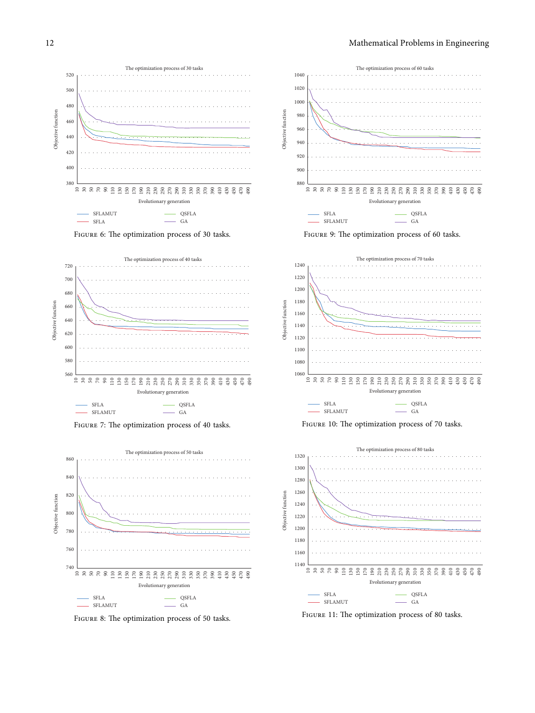<span id="page-11-0"></span>

FIGURE 6: The optimization process of 30 tasks.



FIGURE 7: The optimization process of 40 tasks.



FIGURE 8: The optimization process of 50 tasks.











FIGURE 11: The optimization process of 80 tasks.